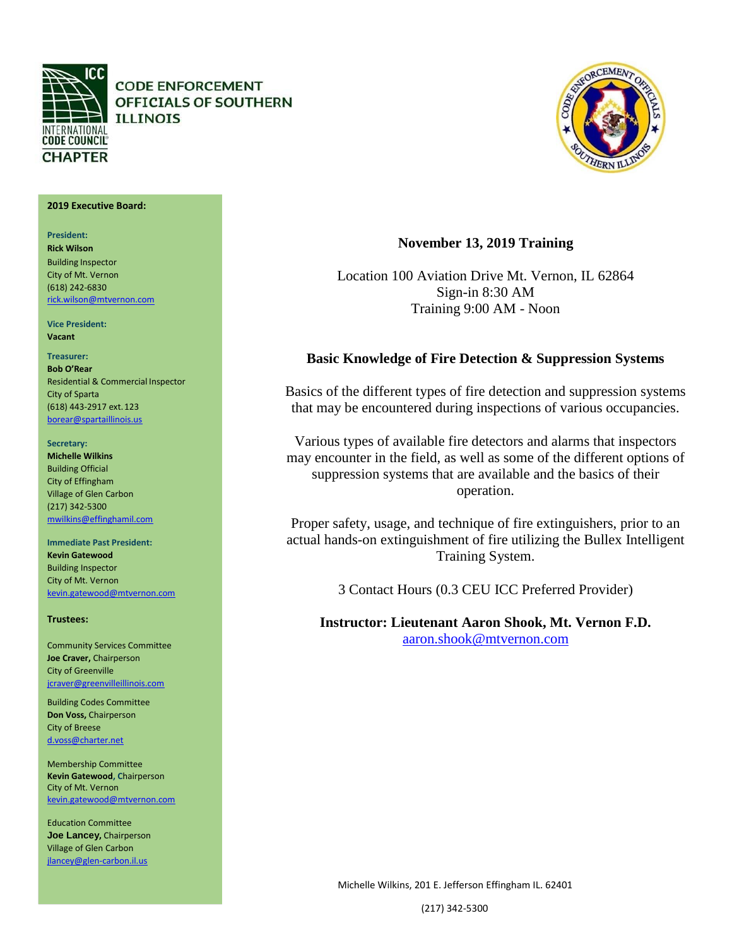

**CODE ENFORCEMENT** OFFICIALS OF SOUTHERN **ILLINOIS** 

# NEORCEMENT

## **2019 Executive Board:**

**President: Rick Wilson** Building Inspector City of Mt. Vernon (618) 242‐6830 [rick.wilson@mtvernon.com](mailto:rick.wilson@mtvernon.com)

**Vice President: Vacant**

# **Treasurer:**

**Bob O'Rear** Residential & Commercial Inspector City of Sparta (618) 443‐2917 ext.123 [borear@spartaillinois.us](mailto:borear@spartaillinois.us)

## **Secretary:**

**Michelle Wilkins**  Building Official City of Effingham Village of Glen Carbon (217) 342‐5300 [mwilkins@effinghamil.com](mailto:mwilkins@effinghamil.com)

# **Immediate Past President:**

**Kevin Gatewood**  Building Inspector City of Mt. Vernon [kevin.gatewood@mtvernon.com](mailto:kevin.gatewood@mtvernon.com)

## **Trustees:**

Community Services Committee **Joe Craver,** Chairperson City of Greenville [jcraver@greenvilleillinois.com](mailto:jcraver@greenvilleillinois.com)

Building Codes Committee **Don Voss,** Chairperson City of Breese [d.voss@charter.net](mailto:d.voss@charter.net)

Membership Committee **Kevin Gatewood, C**hairperson City of Mt. Vernon [kevin.gatewood@mtvernon.com](mailto:kevin.gatewood@mtvernon.com)

Education Committee **Joe Lancey,** Chairperson Village of Glen Carbon jlancey@glen‐carbon.il.us

# **November 13, 2019 Training**

Location 100 Aviation Drive Mt. Vernon, IL 62864 Sign-in 8:30 AM Training 9:00 AM - Noon

# **Basic Knowledge of Fire Detection & Suppression Systems**

Basics of the different types of fire detection and suppression systems that may be encountered during inspections of various occupancies.

Various types of available fire detectors and alarms that inspectors may encounter in the field, as well as some of the different options of suppression systems that are available and the basics of their operation.

Proper safety, usage, and technique of fire extinguishers, prior to an actual hands-on extinguishment of fire utilizing the Bullex Intelligent Training System.

3 Contact Hours (0.3 CEU ICC Preferred Provider)

**Instructor: Lieutenant Aaron Shook, Mt. Vernon F.D.** <aaron.shook@mtvernon.com>